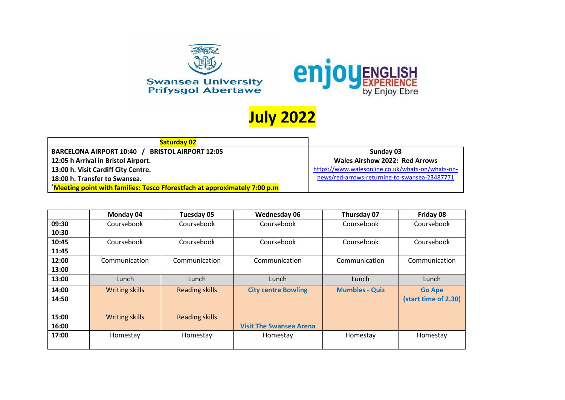



## **July 2022**

| <b>Saturday 02</b>                                                       |                                                  |
|--------------------------------------------------------------------------|--------------------------------------------------|
| BARCELONA AIRPORT 10:40 / BRISTOL AIRPORT 12:05                          | Sunday 03                                        |
| 12:05 h Arrival in Bristol Airport.                                      | <b>Wales Airshow 2022: Red Arrows</b>            |
| 13:00 h. Visit Cardiff City Centre.                                      | https://www.walesonline.co.uk/whats-on/whats-on- |
| 18:00 h. Transfer to Swansea.                                            | news/red-arrows-returning-to-swansea-23487771    |
| Meeting point with families: Tesco Fforestfach at approximately 7:00 p.m |                                                  |

|       | Monday 04             | Tuesday 05            | Wednesday 06                   | Thursday 07           | Friday 08            |
|-------|-----------------------|-----------------------|--------------------------------|-----------------------|----------------------|
| 09:30 | Coursebook            | Coursebook            | Coursebook                     | Coursebook            | Coursebook           |
| 10:30 |                       |                       |                                |                       |                      |
| 10:45 | Coursebook            | Coursebook            | Coursebook                     | Coursebook            | Coursebook           |
| 11:45 |                       |                       |                                |                       |                      |
| 12:00 | Communication         | Communication         | Communication                  | Communication         | Communication        |
| 13:00 |                       |                       |                                |                       |                      |
| 13:00 | Lunch                 | Lunch                 | Lunch                          | Lunch                 | Lunch                |
| 14:00 | <b>Writing skills</b> | <b>Reading skills</b> | <b>City centre Bowling</b>     | <b>Mumbles - Quiz</b> | <b>Go Ape</b>        |
| 14:50 |                       |                       |                                |                       | (start time of 2.30) |
|       |                       |                       |                                |                       |                      |
| 15:00 | <b>Writing skills</b> | <b>Reading skills</b> |                                |                       |                      |
| 16:00 |                       |                       | <b>Visit The Swansea Arena</b> |                       |                      |
| 17:00 | Homestay              | Homestay              | Homestay                       | Homestay              | Homestay             |
|       |                       |                       |                                |                       |                      |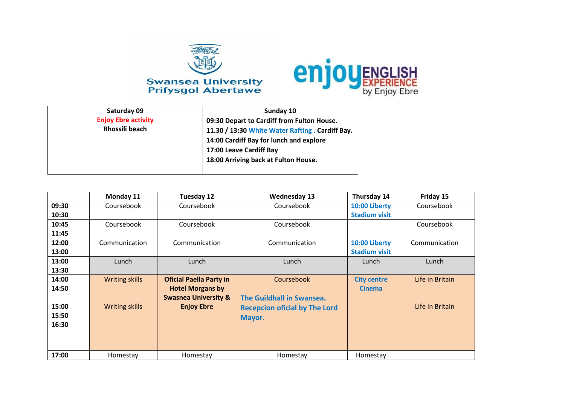



| Saturday 09                | Sunday 10                                        |
|----------------------------|--------------------------------------------------|
| <b>Enjoy Ebre activity</b> | 09:30 Depart to Cardiff from Fulton House.       |
| Rhossili beach             | 11.30 / 13:30 White Water Rafting . Cardiff Bay. |
|                            | 14:00 Cardiff Bay for lunch and explore          |
|                            | 17:00 Leave Cardiff Bay                          |
|                            | 18:00 Arriving back at Fulton House.             |
|                            |                                                  |

|       | Monday 11             | Tuesday 12                      | <b>Wednesday 13</b>                  | Thursday 14          | Friday 15       |
|-------|-----------------------|---------------------------------|--------------------------------------|----------------------|-----------------|
| 09:30 | Coursebook            | Coursebook                      | Coursebook                           | 10:00 Liberty        | Coursebook      |
| 10:30 |                       |                                 |                                      | <b>Stadium visit</b> |                 |
| 10:45 | Coursebook            | Coursebook                      | Coursebook                           |                      | Coursebook      |
| 11:45 |                       |                                 |                                      |                      |                 |
| 12:00 | Communication         | Communication                   | Communication                        | 10:00 Liberty        | Communication   |
| 13:00 |                       |                                 |                                      | <b>Stadium visit</b> |                 |
| 13:00 | Lunch                 | Lunch                           | Lunch                                | Lunch                | Lunch           |
| 13:30 |                       |                                 |                                      |                      |                 |
| 14:00 | <b>Writing skills</b> | <b>Oficial Paella Party in</b>  | Coursebook                           | <b>City centre</b>   | Life in Britain |
| 14:50 |                       | <b>Hotel Morgans by</b>         |                                      | <b>Cinema</b>        |                 |
|       |                       | <b>Swasnea University &amp;</b> | The Guildhall in Swansea.            |                      |                 |
| 15:00 | <b>Writing skills</b> | <b>Enjoy Ebre</b>               | <b>Recepcion oficial by The Lord</b> |                      | Life in Britain |
| 15:50 |                       |                                 | Mayor.                               |                      |                 |
| 16:30 |                       |                                 |                                      |                      |                 |
|       |                       |                                 |                                      |                      |                 |
|       |                       |                                 |                                      |                      |                 |
| 17:00 | Homestay              | Homestay                        | Homestay                             | Homestay             |                 |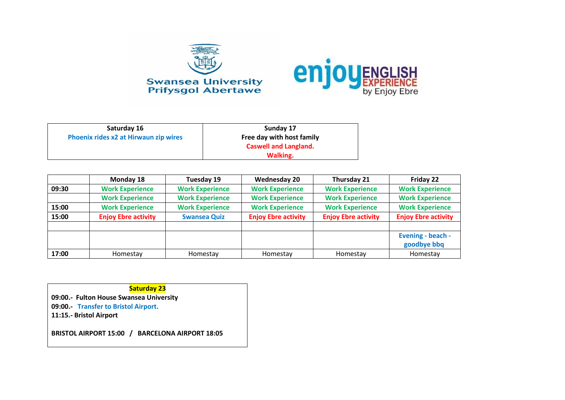



| Saturday 16                           | Sunday 17                    |
|---------------------------------------|------------------------------|
| Phoenix rides x2 at Hirwaun zip wires | Free day with host family    |
|                                       | <b>Caswell and Langland.</b> |
|                                       | Walking.                     |

|       | Monday 18                  | Tuesday 19             | <b>Wednesday 20</b>        | Thursday 21                | Friday 22                        |
|-------|----------------------------|------------------------|----------------------------|----------------------------|----------------------------------|
| 09:30 | <b>Work Experience</b>     | <b>Work Experience</b> | <b>Work Experience</b>     | <b>Work Experience</b>     | <b>Work Experience</b>           |
|       | <b>Work Experience</b>     | <b>Work Experience</b> | <b>Work Experience</b>     | <b>Work Experience</b>     | <b>Work Experience</b>           |
| 15:00 | <b>Work Experience</b>     | <b>Work Experience</b> | <b>Work Experience</b>     | <b>Work Experience</b>     | <b>Work Experience</b>           |
| 15:00 | <b>Enjoy Ebre activity</b> | <b>Swansea Quiz</b>    | <b>Enjoy Ebre activity</b> | <b>Enjoy Ebre activity</b> | <b>Enjoy Ebre activity</b>       |
|       |                            |                        |                            |                            | Evening - beach -<br>goodbye bbq |
| 17:00 | Homestay                   | Homestay               | Homestay                   | Homestay                   | Homestay                         |

**Saturday 23**

**09:00.- Fulton House Swansea University 09:00.- Transfer to Bristol Airport.**

**11:15.- Bristol Airport**

**BRISTOL AIRPORT 15:00 / BARCELONA AIRPORT 18:05**